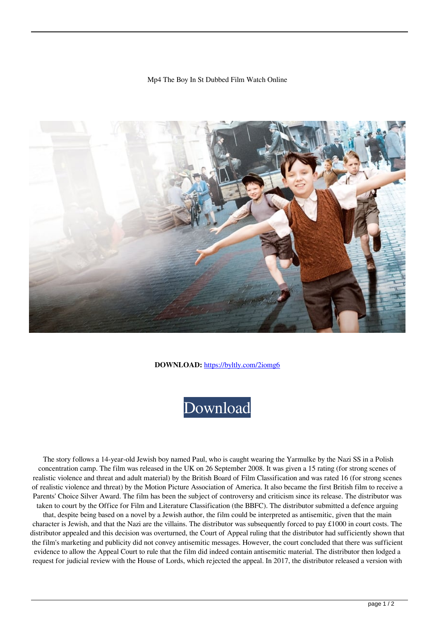## Mp4 The Boy In St Dubbed Film Watch Online



**DOWNLOAD:** <https://byltly.com/2iomg6>



 The story follows a 14-year-old Jewish boy named Paul, who is caught wearing the Yarmulke by the Nazi SS in a Polish concentration camp. The film was released in the UK on 26 September 2008. It was given a 15 rating (for strong scenes of realistic violence and threat and adult material) by the British Board of Film Classification and was rated 16 (for strong scenes of realistic violence and threat) by the Motion Picture Association of America. It also became the first British film to receive a Parents' Choice Silver Award. The film has been the subject of controversy and criticism since its release. The distributor was taken to court by the Office for Film and Literature Classification (the BBFC). The distributor submitted a defence arguing that, despite being based on a novel by a Jewish author, the film could be interpreted as antisemitic, given that the main character is Jewish, and that the Nazi are the villains. The distributor was subsequently forced to pay  $\pounds 1000$  in court costs. The distributor appealed and this decision was overturned, the Court of Appeal ruling that the distributor had sufficiently shown that the film's marketing and publicity did not convey antisemitic messages. However, the court concluded that there was sufficient evidence to allow the Appeal Court to rule that the film did indeed contain antisemitic material. The distributor then lodged a request for judicial review with the House of Lords, which rejected the appeal. In 2017, the distributor released a version with